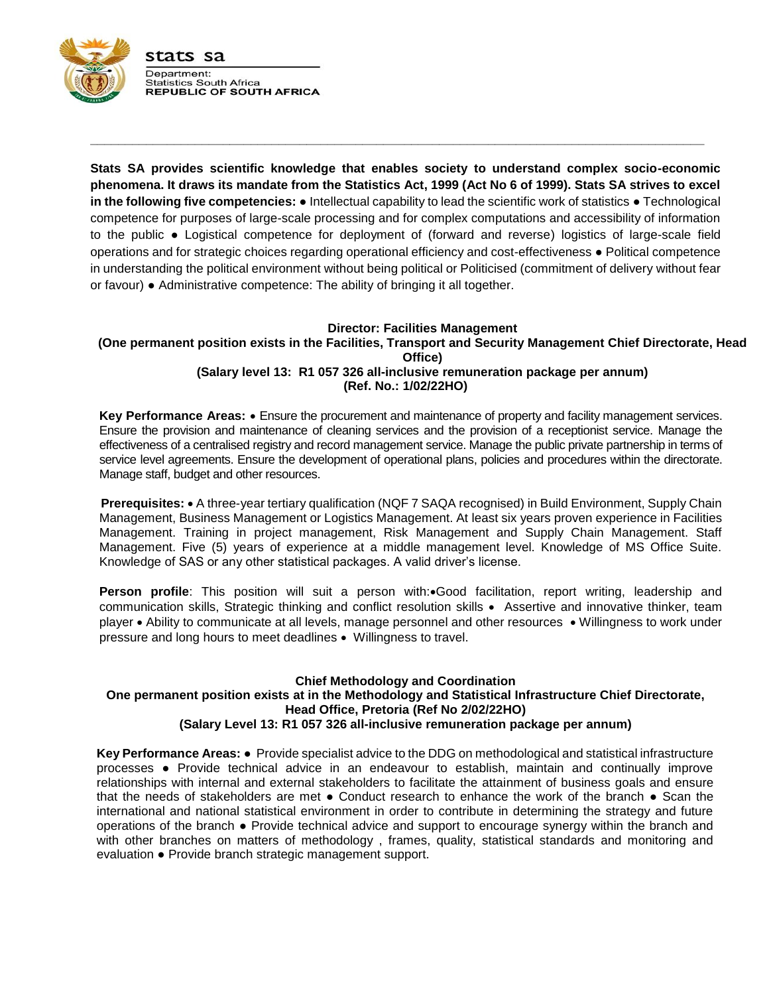

**Stats SA provides scientific knowledge that enables society to understand complex socio-economic phenomena. It draws its mandate from the Statistics Act, 1999 (Act No 6 of 1999). Stats SA strives to excel in the following five competencies:** ● Intellectual capability to lead the scientific work of statistics ● Technological competence for purposes of large-scale processing and for complex computations and accessibility of information to the public ● Logistical competence for deployment of (forward and reverse) logistics of large-scale field operations and for strategic choices regarding operational efficiency and cost-effectiveness ● Political competence in understanding the political environment without being political or Politicised (commitment of delivery without fear or favour) ● Administrative competence: The ability of bringing it all together.

**\_\_\_\_\_\_\_\_\_\_\_\_\_\_\_\_\_\_\_\_\_\_\_\_\_\_\_\_\_\_\_\_\_\_\_\_\_\_\_\_\_\_\_\_\_\_\_\_\_\_\_\_\_\_\_\_\_\_\_\_\_\_\_\_\_\_\_\_\_\_\_\_\_\_\_\_\_\_\_\_\_\_\_\_\_\_\_\_**

#### **Director: Facilities Management (One permanent position exists in the Facilities, Transport and Security Management Chief Directorate, Head Office) (Salary level 13: R1 057 326 all-inclusive remuneration package per annum) (Ref. No.: 1/02/22HO)**

**Key Performance Areas:** Ensure the procurement and maintenance of property and facility management services. Ensure the provision and maintenance of cleaning services and the provision of a receptionist service. Manage the effectiveness of a centralised registry and record management service. Manage the public private partnership in terms of service level agreements. Ensure the development of operational plans, policies and procedures within the directorate. Manage staff, budget and other resources.

**Prerequisites:** • A three-year tertiary qualification (NQF 7 SAQA recognised) in Build Environment, Supply Chain Management, Business Management or Logistics Management. At least six years proven experience in Facilities Management. Training in project management, Risk Management and Supply Chain Management. Staff Management. Five (5) years of experience at a middle management level. Knowledge of MS Office Suite. Knowledge of SAS or any other statistical packages. A valid driver's license.

**Person profile**: This position will suit a person with:•Good facilitation, report writing, leadership and communication skills, Strategic thinking and conflict resolution skills Assertive and innovative thinker, team player Ability to communicate at all levels, manage personnel and other resources Willingness to work under pressure and long hours to meet deadlines Willingness to travel.

### **Chief Methodology and Coordination One permanent position exists at in the Methodology and Statistical Infrastructure Chief Directorate, Head Office, Pretoria (Ref No 2/02/22HO) (Salary Level 13: R1 057 326 all-inclusive remuneration package per annum)**

**Key Performance Areas:** ● Provide specialist advice to the DDG on methodological and statistical infrastructure processes ● Provide technical advice in an endeavour to establish, maintain and continually improve relationships with internal and external stakeholders to facilitate the attainment of business goals and ensure that the needs of stakeholders are met ● Conduct research to enhance the work of the branch ● Scan the international and national statistical environment in order to contribute in determining the strategy and future operations of the branch ● Provide technical advice and support to encourage synergy within the branch and with other branches on matters of methodology , frames, quality, statistical standards and monitoring and evaluation ● Provide branch strategic management support.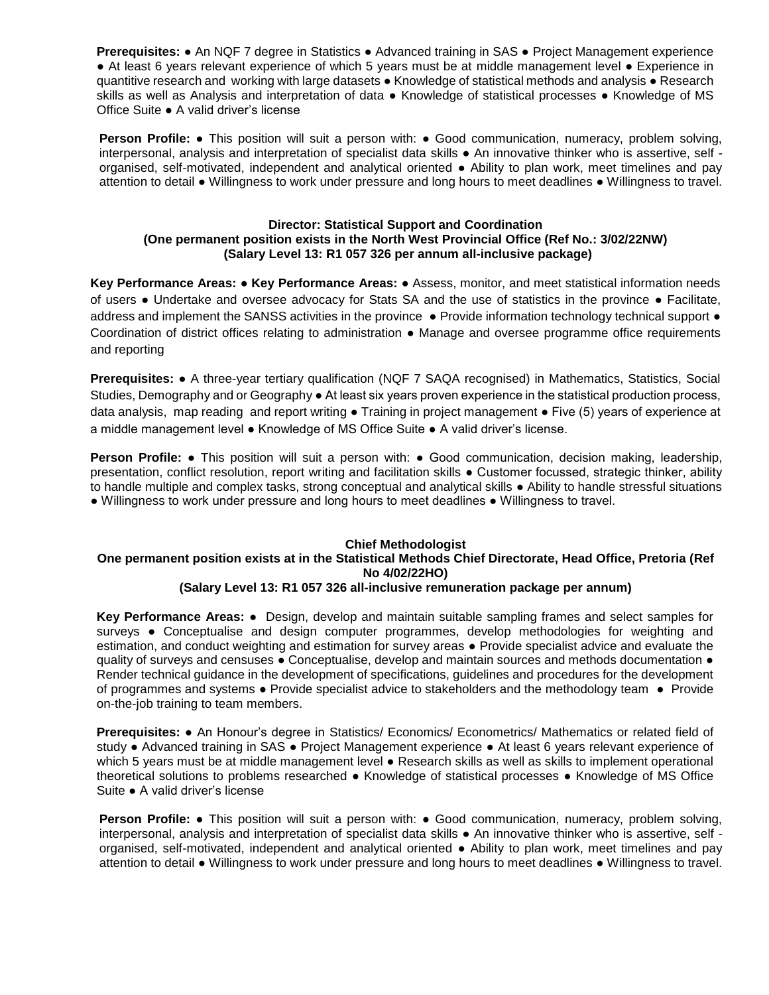**Prerequisites: •** An NQF 7 degree in Statistics • Advanced training in SAS • Project Management experience ■ At least 6 years relevant experience of which 5 years must be at middle management level ● Experience in quantitive research and working with large datasets ● Knowledge of statistical methods and analysis ● Research skills as well as Analysis and interpretation of data • Knowledge of statistical processes • Knowledge of MS Office Suite ● A valid driver's license

**Person Profile: •** This position will suit a person with: • Good communication, numeracy, problem solving, interpersonal, analysis and interpretation of specialist data skills ● An innovative thinker who is assertive, self organised, self-motivated, independent and analytical oriented ● Ability to plan work, meet timelines and pay attention to detail ● Willingness to work under pressure and long hours to meet deadlines ● Willingness to travel.

### **Director: Statistical Support and Coordination (One permanent position exists in the North West Provincial Office (Ref No.: 3/02/22NW) (Salary Level 13: R1 057 326 per annum all-inclusive package)**

**Key Performance Areas:** ● **Key Performance Areas:** ● Assess, monitor, and meet statistical information needs of users ● Undertake and oversee advocacy for Stats SA and the use of statistics in the province ● Facilitate, address and implement the SANSS activities in the province • Provide information technology technical support • Coordination of district offices relating to administration ● Manage and oversee programme office requirements and reporting

**Prerequisites:** ● A three-year tertiary qualification (NQF 7 SAQA recognised) in Mathematics, Statistics, Social Studies, Demography and or Geography ● At least six years proven experience in the statistical production process, data analysis, map reading and report writing • Training in project management • Five (5) years of experience at a middle management level ● Knowledge of MS Office Suite ● A valid driver's license.

**Person Profile: •** This position will suit a person with: • Good communication, decision making, leadership, presentation, conflict resolution, report writing and facilitation skills ● Customer focussed, strategic thinker, ability to handle multiple and complex tasks, strong conceptual and analytical skills ● Ability to handle stressful situations ● Willingness to work under pressure and long hours to meet deadlines ● Willingness to travel.

## **Chief Methodologist**

# **One permanent position exists at in the Statistical Methods Chief Directorate, Head Office, Pretoria (Ref No 4/02/22HO)**

### **(Salary Level 13: R1 057 326 all-inclusive remuneration package per annum)**

**Key Performance Areas:** ● Design, develop and maintain suitable sampling frames and select samples for surveys ● Conceptualise and design computer programmes, develop methodologies for weighting and estimation, and conduct weighting and estimation for survey areas ● Provide specialist advice and evaluate the quality of surveys and censuses ● Conceptualise, develop and maintain sources and methods documentation ● Render technical guidance in the development of specifications, guidelines and procedures for the development of programmes and systems ● Provide specialist advice to stakeholders and the methodology team ● Provide on-the-job training to team members.

**Prerequisites:** ● An Honour's degree in Statistics/ Economics/ Econometrics/ Mathematics or related field of study ● Advanced training in SAS ● Project Management experience ● At least 6 years relevant experience of which 5 years must be at middle management level ● Research skills as well as skills to implement operational theoretical solutions to problems researched ● Knowledge of statistical processes ● Knowledge of MS Office Suite ● A valid driver's license

**Person Profile: •** This position will suit a person with: • Good communication, numeracy, problem solving, interpersonal, analysis and interpretation of specialist data skills ● An innovative thinker who is assertive, self organised, self-motivated, independent and analytical oriented ● Ability to plan work, meet timelines and pay attention to detail ● Willingness to work under pressure and long hours to meet deadlines ● Willingness to travel.